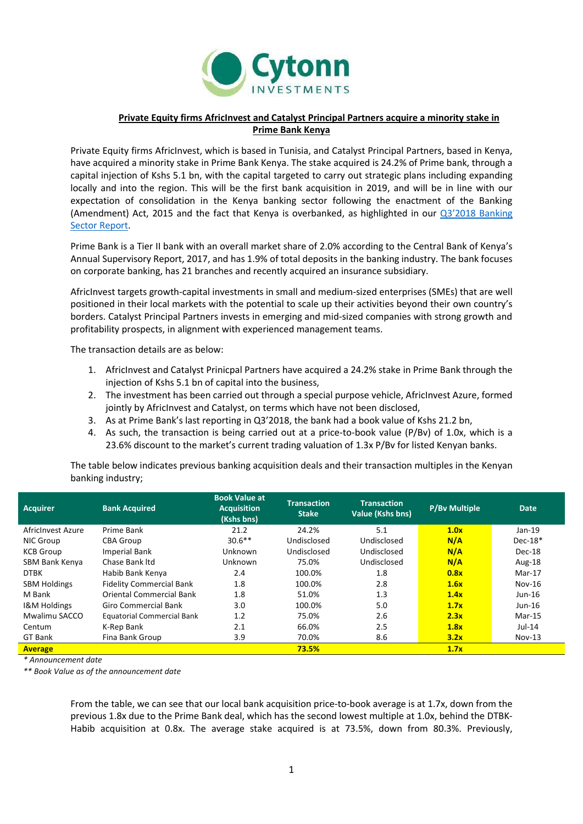

## **Private Equity firms AfricInvest and Catalyst Principal Partners acquire a minority stake in Prime Bank Kenya**

Private Equity firms AfricInvest, which is based in Tunisia, and Catalyst Principal Partners, based in Kenya, have acquired a minority stake in Prime Bank Kenya. The stake acquired is 24.2% of Prime bank, through a capital injection of Kshs 5.1 bn, with the capital targeted to carry out strategic plans including expanding locally and into the region. This will be the first bank acquisition in 2019, and will be in line with our expectation of consolidation in the Kenya banking sector following the enactment of the Banking (Amendment) Act, 2015 and the fact that Kenya is overbanked, as highlighted in our Q3'[2018 Banking](https://cytonn.com/uploads/downloads/q32018-banking-sector-report.pdf)  [Sector Report.](https://cytonn.com/uploads/downloads/q32018-banking-sector-report.pdf)

Prime Bank is a Tier II bank with an overall market share of 2.0% according to the Central Bank of Kenya's Annual Supervisory Report, 2017, and has 1.9% of total deposits in the banking industry. The bank focuses on corporate banking, has 21 branches and recently acquired an insurance subsidiary.

AfricInvest targets growth-capital investments in small and medium-sized enterprises (SMEs) that are well positioned in their local markets with the potential to scale up their activities beyond their own country's borders. Catalyst Principal Partners invests in emerging and mid-sized companies with strong growth and profitability prospects, in alignment with experienced management teams.

The transaction details are as below:

- 1. AfricInvest and Catalyst Prinicpal Partners have acquired a 24.2% stake in Prime Bank through the injection of Kshs 5.1 bn of capital into the business,
- 2. The investment has been carried out through a special purpose vehicle, AfricInvest Azure, formed jointly by AfricInvest and Catalyst, on terms which have not been disclosed,
- 3. As at Prime Bank's last reporting in Q3'2018, the bank had a book value of Kshs 21.2 bn,
- 4. As such, the transaction is being carried out at a price-to-book value (P/Bv) of 1.0x, which is a 23.6% discount to the market's current trading valuation of 1.3x P/Bv for listed Kenyan banks.

The table below indicates previous banking acquisition deals and their transaction multiples in the Kenyan banking industry;

| <b>Acquirer</b>         | <b>Bank Acquired</b>              | <b>Book Value at</b><br><b>Acquisition</b><br>(Kshs bns) | <b>Transaction</b><br><b>Stake</b> | <b>Transaction</b><br><b>Value (Kshs bns)</b> | <b>P/By Multiple</b> | <b>Date</b> |
|-------------------------|-----------------------------------|----------------------------------------------------------|------------------------------------|-----------------------------------------------|----------------------|-------------|
| AfricInvest Azure       | Prime Bank                        | 21.2                                                     | 24.2%                              | 5.1                                           | 1.0x                 | $Jan-19$    |
| NIC Group               | <b>CBA Group</b>                  | $30.6**$                                                 | Undisclosed                        | Undisclosed                                   | N/A                  | $Dec-18*$   |
| <b>KCB Group</b>        | <b>Imperial Bank</b>              | Unknown                                                  | Undisclosed                        | Undisclosed                                   | N/A                  | Dec-18      |
| SBM Bank Kenya          | Chase Bank Itd                    | Unknown                                                  | 75.0%                              | Undisclosed                                   | N/A                  | Aug-18      |
| <b>DTBK</b>             | Habib Bank Kenya                  | 2.4                                                      | 100.0%                             | 1.8                                           | 0.8x                 | Mar-17      |
| <b>SBM Holdings</b>     | <b>Fidelity Commercial Bank</b>   | 1.8                                                      | 100.0%                             | 2.8                                           | 1.6x                 | $Nov-16$    |
| M Bank                  | <b>Oriental Commercial Bank</b>   | 1.8                                                      | 51.0%                              | 1.3                                           | 1.4x                 | Jun-16      |
| <b>I&amp;M Holdings</b> | <b>Giro Commercial Bank</b>       | 3.0                                                      | 100.0%                             | 5.0                                           | 1.7x                 | Jun-16      |
| Mwalimu SACCO           | <b>Equatorial Commercial Bank</b> | 1.2                                                      | 75.0%                              | 2.6                                           | 2.3x                 | Mar-15      |
| Centum                  | K-Rep Bank                        | 2.1                                                      | 66.0%                              | 2.5                                           | 1.8x                 | Jul-14      |
| GT Bank                 | Fina Bank Group                   | 3.9                                                      | 70.0%                              | 8.6                                           | 3.2x                 | $Nov-13$    |
| <b>Average</b>          |                                   |                                                          | 73.5%                              |                                               | 1.7x                 |             |

*\* Announcement date*

*\*\* Book Value as of the announcement date*

From the table, we can see that our local bank acquisition price-to-book average is at 1.7x, down from the previous 1.8x due to the Prime Bank deal, which has the second lowest multiple at 1.0x, behind the DTBK-Habib acquisition at 0.8x. The average stake acquired is at 73.5%, down from 80.3%. Previously,